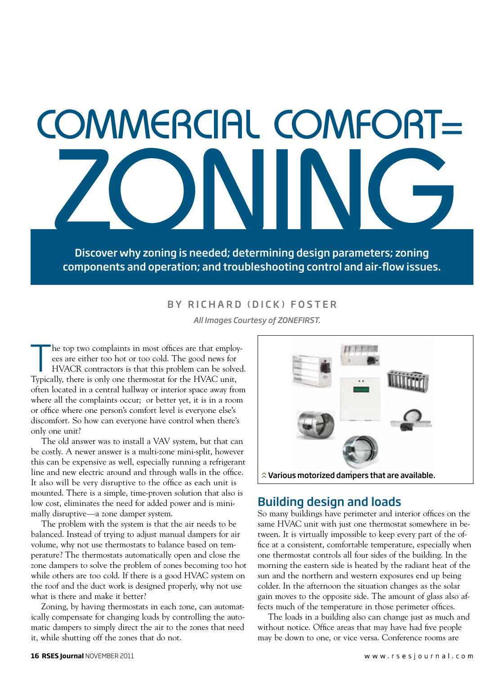# commercial comfort= ZONING

Discover why zoning is needed; determining design parameters; zoning components and operation; and troubleshooting control and air-flow issues.

### BY RICHARD (DICK) FOSTER

*All Images Courtesy of ZONEFIRST.*

The top two complaints in most offices are that employ-<br>ees are either too hot or too cold. The good news for<br>HVACR contractors is that this problem can be solved<br>Tunically, there is only one thermostat for the HVAC unit. ees are either too hot or too cold. The good news for HVACR contractors is that this problem can be solved. Typically, there is only one thermostat for the HVAC unit, often located in a central hallway or interior space away from where all the complaints occur; or better yet, it is in a room or office where one person's comfort level is everyone else's discomfort. So how can everyone have control when there's only one unit?

The old answer was to install a VAV system, but that can be costly. A newer answer is a multi-zone mini-split, however this can be expensive as well, especially running a refrigerant line and new electric around and through walls in the office. It also will be very disruptive to the office as each unit is mounted. There is a simple, time-proven solution that also is low cost, eliminates the need for added power and is minimally disruptive—a zone damper system.

The problem with the system is that the air needs to be balanced. Instead of trying to adjust manual dampers for air volume, why not use thermostats to balance based on temperature? The thermostats automatically open and close the zone dampers to solve the problem of zones becoming too hot while others are too cold. If there is a good HVAC system on the roof and the duct work is designed properly, why not use what is there and make it better?

Zoning, by having thermostats in each zone, can automatically compensate for changing loads by controlling the automatic dampers to simply direct the air to the zones that need it, while shutting off the zones that do not.



# Building design and loads

So many buildings have perimeter and interior offices on the same HVAC unit with just one thermostat somewhere in between. It is virtually impossible to keep every part of the office at a consistent, comfortable temperature, especially when one thermostat controls all four sides of the building. In the morning the eastern side is heated by the radiant heat of the sun and the northern and western exposures end up being colder. In the afternoon the situation changes as the solar gain moves to the opposite side. The amount of glass also affects much of the temperature in those perimeter offices.

The loads in a building also can change just as much and without notice. Office areas that may have had five people may be down to one, or vice versa. Conference rooms are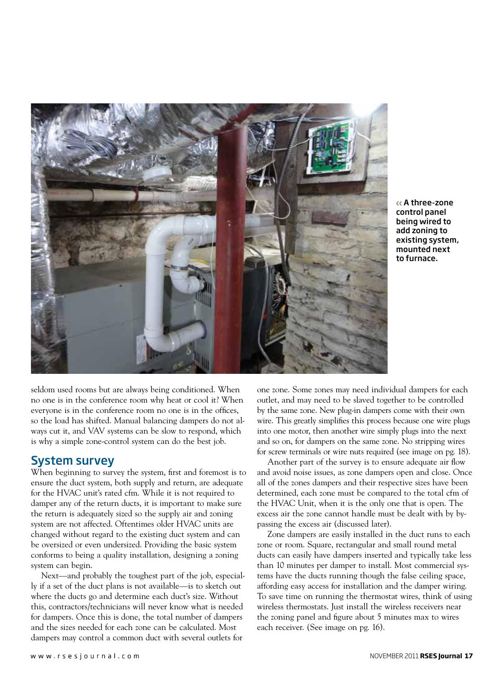

A three-zone control panel being wired to add zoning to existing system, mounted next to furnace.

seldom used rooms but are always being conditioned. When no one is in the conference room why heat or cool it? When everyone is in the conference room no one is in the offices, so the load has shifted. Manual balancing dampers do not always cut it, and VAV systems can be slow to respond, which is why a simple zone-control system can do the best job.

### System survey

When beginning to survey the system, first and foremost is to ensure the duct system, both supply and return, are adequate for the HVAC unit's rated cfm. While it is not required to damper any of the return ducts, it is important to make sure the return is adequately sized so the supply air and zoning system are not affected. Oftentimes older HVAC units are changed without regard to the existing duct system and can be oversized or even undersized. Providing the basic system conforms to being a quality installation, designing a zoning system can begin.

Next—and probably the toughest part of the job, especially if a set of the duct plans is not available—is to sketch out where the ducts go and determine each duct's size. Without this, contractors/technicians will never know what is needed for dampers. Once this is done, the total number of dampers and the sizes needed for each zone can be calculated. Most dampers may control a common duct with several outlets for

one zone. Some zones may need individual dampers for each outlet, and may need to be slaved together to be controlled by the same zone. New plug-in dampers come with their own wire. This greatly simplifies this process because one wire plugs into one motor, then another wire simply plugs into the next and so on, for dampers on the same zone. No stripping wires for screw terminals or wire nuts required (see image on pg. 18).

Another part of the survey is to ensure adequate air flow and avoid noise issues, as zone dampers open and close. Once all of the zones dampers and their respective sizes have been determined, each zone must be compared to the total cfm of the HVAC Unit, when it is the only one that is open. The excess air the zone cannot handle must be dealt with by bypassing the excess air (discussed later).

Zone dampers are easily installed in the duct runs to each zone or room. Square, rectangular and small round metal ducts can easily have dampers inserted and typically take less than 10 minutes per damper to install. Most commercial systems have the ducts running though the false ceiling space, affording easy access for installation and the damper wiring. To save time on running the thermostat wires, think of using wireless thermostats. Just install the wireless receivers near the zoning panel and figure about 5 minutes max to wires each receiver. (See image on pg. 16).